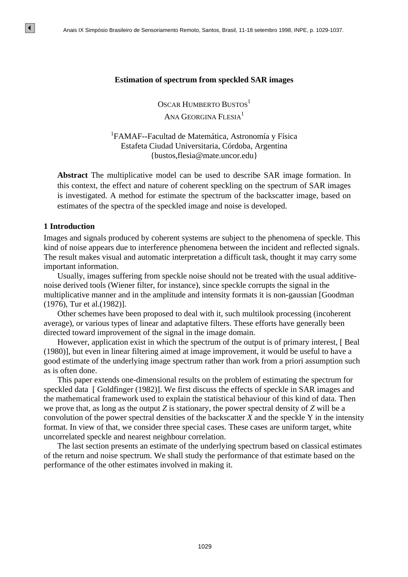#### **Estimation of spectrum from speckled SAR images**

OSCAR HUMBERTO BUSTOS<sup>1</sup>

# ANA GEORGINA FLESIA<sup>1</sup>

<sup>1</sup>FAMAF--Facultad de Matemática, Astronomía y Física Estafeta Ciudad Universitaria, Córdoba, Argentina {bustos,flesia@mate.uncor.edu}

**Abstract** The multiplicative model can be used to describe SAR image formation. In this context, the effect and nature of coherent speckling on the spectrum of SAR images is investigated. A method for estimate the spectrum of the backscatter image, based on estimates of the spectra of the speckled image and noise is developed.

### **1 Introduction**

 $|\bullet|$ 

Images and signals produced by coherent systems are subject to the phenomena of speckle. This kind of noise appears due to interference phenomena between the incident and reflected signals. The result makes visual and automatic interpretation a difficult task, thought it may carry some important information.

Usually, images suffering from speckle noise should not be treated with the usual additivenoise derived tools (Wiener filter, for instance), since speckle corrupts the signal in the multiplicative manner and in the amplitude and intensity formats it is non-gaussian [Goodman (1976), Tur et al.(1982)].

Other schemes have been proposed to deal with it, such multilook processing (incoherent average), or various types of linear and adaptative filters. These efforts have generally been directed toward improvement of the signal in the image domain.

However, application exist in which the spectrum of the output is of primary interest, [ Beal (1980)], but even in linear filtering aimed at image improvement, it would be useful to have a good estimate of the underlying image spectrum rather than work from a priori assumption such as is often done.

This paper extends one-dimensional results on the problem of estimating the spectrum for speckled data [ Goldfinger (1982)]. We first discuss the effects of speckle in SAR images and the mathematical framework used to explain the statistical behaviour of this kind of data. Then we prove that, as long as the output *Z* is stationary, the power spectral density of *Z* will be a convolution of the power spectral densities of the backscatter *X* and the speckle Y in the intensity format. In view of that, we consider three special cases. These cases are uniform target, white uncorrelated speckle and nearest neighbour correlation. Sensi Respeats the mean of Sensorian Comparison Branco Brasil, 198 Santento 1981, Brasil, Concerned ANA Concernent Days ICS<sup>1</sup><br>
ANA Concernent Days ICS<sup>1</sup><br>
ANA Concernent Days ICS<sup>1</sup><br>
ANA Concernent Days ICS<sup>1</sup><br>
<sup>12</sup> FAMAF

The last section presents an estimate of the underlying spectrum based on classical estimates of the return and noise spectrum. We shall study the performance of that estimate based on the performance of the other estimates involved in making it.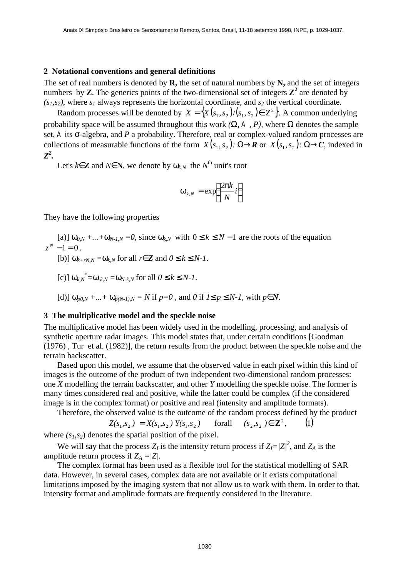#### **2 Notational conventions and general definitions**

The set of real numbers is denoted by **R,** the set of natural numbers by **N,** and the set of integers numbers by **Z**. The generics points of the two-dimensional set of integers  $\mathbb{Z}^2$  are denoted by  $(s_1, s_2)$ , where  $s_1$  always represents the horizontal coordinate, and  $s_2$  the vertical coordinate.

Random processes will be denoted by  $X = \{X(s_1, s_2) / (s_1, s_2) \in \mathbb{Z}^2\}$ . A common underlying probability space will be assumed throughout this work *(W, A , P),* where *W* denotes the sample set, *A* its *s*-algebra, and *P* a probability. Therefore, real or complex-valued random processes are collections of measurable functions of the form  $X(s_1, s_2)$ : *W®R* or  $X(s_1, s_2)$ : *W®C*, indexed in *Z 2 .*

Let's  $k\widehat{I}Z$  and  $N\widehat{I}N$ , we denote by  $w_{k,N}$  the  $N^{\text{th}}$  unit's root

$$
\mathbf{W}_{k,N} = \exp\left(\frac{2\mathbf{p}k}{N}i\right)
$$

They have the following properties

[a)]  $w_{0,N} + ... + w_{N-1,N} = 0$ , since  $w_{k,N}$  with  $0 \le k \le N - 1$  are the roots of the equation  $z^N - 1 = 0$ .

 $[\mathbf{b})] \mathbf{W}_{k+rN,N} = \mathbf{W}_{k,N}$  for all  $r \mathbf{\hat{I}} \mathbf{Z}$  and  $0 \mathbf{f} k \mathbf{f} N$ -1.

 $[c]$   $W_{k,N}^* = W_{-k,N} = W_{N-k,N}$  for all  $0 \text{ } \pounds k \text{ } \pounds N-1$ .

[d)] 
$$
\mathbf{w}_{p0,N} + \dots + \mathbf{w}_{p(N-1),N} = N
$$
 if  $p=0$ , and 0 if  $l \mathbf{f} p \mathbf{f} N$ , with  $p \mathbf{f} N$ .

#### **3 The multiplicative model and the speckle noise**

The multiplicative model has been widely used in the modelling, processing, and analysis of synthetic aperture radar images. This model states that, under certain conditions [Goodman (1976) , Tur et al. (1982)], the return results from the product between the speckle noise and the terrain backscatter.

Based upon this model, we assume that the observed value in each pixel within this kind of images is the outcome of the product of two independent two-dimensional random processes: one *X* modelling the terrain backscatter, and other *Y* modelling the speckle noise. The former is many times considered real and positive, while the latter could be complex (if the considered image is in the complex format) or positive and real (intensity and amplitude formats).

Therefore, the observed value is the outcome of the random process defined by the product

$$
Z(s_1, s_2) = X(s_1, s_2) Y(s_1, s_2) \quad \text{for all} \quad (s_2, s_2) \in \mathbb{Z}^2, \tag{1}
$$

where  $(s<sub>1</sub>,s<sub>2</sub>)$  denotes the spatial position of the pixel.

We will say that the process  $Z_I$  is the intensity return process if  $Z_I = |Z_I|^2$ , and  $Z_A$  is the amplitude return process if  $Z_A = |Z|$ .

The complex format has been used as a flexible tool for the statistical modelling of SAR data. However, in several cases, complex data are not available or it exists computational limitations imposed by the imaging system that not allow us to work with them. In order to that, intensity format and amplitude formats are frequently considered in the literature.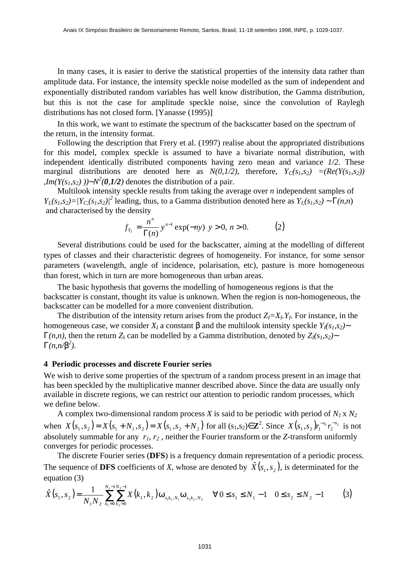In many cases, it is easier to derive the statistical properties of the intensity data rather than amplitude data. For instance, the intensity speckle noise modelled as the sum of independent and exponentially distributed random variables has well know distribution, the Gamma distribution, but this is not the case for amplitude speckle noise, since the convolution of Raylegh distributions has not closed form. [Yanasse (1995)]

In this work, we want to estimate the spectrum of the backscatter based on the spectrum of the return, in the intensity format.

Following the description that Frery et al. (1997) realise about the appropriated distributions for this model, complex speckle is assumed to have a bivariate normal distribution, with independent identically distributed components having zero mean and variance *1/2*. These marginal distributions are denoted here as  $N(0,1/2)$ , therefore,  $Y_C(s_1,s_2) = (Re(Y(s_1,s_2))$ *, Im*(*Y*(*s*<sub>*1</sub>*,*s*<sub>2</sub>)  $)$ )~*N*<sup>2</sup>(0,1/2) denotes the distribution of a pair.</sub>

Multilook intensity speckle results from taking the average over *n* independent samples of  $Y_{I}(s_1,s_2) = |Y_{C}(s_1,s_2)|^2$  leading, thus, to a Gamma distribution denoted here as  $Y_{I}(s_1,s_2) \sim G(n,n)$ and characterised by the density

$$
f_{Y_t} = \frac{n^n}{\Gamma(n)} y^{n-1} \exp(-ny) \ y > 0, \ n > 0. \tag{2}
$$

Several distributions could be used for the backscatter, aiming at the modelling of different types of classes and their characteristic degrees of homogeneity. For instance, for some sensor parameters (wavelength, angle of incidence, polarisation, etc), pasture is more homogeneous than forest, which in turn are more homogeneous than urban areas.

The basic hypothesis that governs the modelling of homogeneous regions is that the backscatter is constant, thought its value is unknown. When the region is non-homogeneous, the backscatter can be modelled for a more convenient distribution.

The distribution of the intensity return arises from the product  $Z_I = X_I, Y_I$ . For instance, in the homogeneous case, we consider  $X_I$  a constant *b* and the multilook intensity speckle  $Y_I(s_I, s_2)$ *G*(*n,n*), then the return  $Z_I$  can be modelled by a Gamma distribution, denoted by  $Z_I(s_I, s_2)$  $G(n, n/b^2)$ .

#### **4 Periodic processes and discrete Fourier series**

We wish to derive some properties of the spectrum of a random process present in an image that has been speckled by the multiplicative manner described above. Since the data are usually only available in discrete regions, we can restrict our attention to periodic random processes, which we define below.

A complex two-dimensional random process *X* is said to be periodic with period of *N1* x *N<sup>2</sup>* when  $X(s_1, s_2) = X(s_1 + N_1, s_2) = X(s_1, s_2 + N_2)$  for all  $(s_1, s_2) \in \mathbb{Z}^2$ . Since  $X(s_1, s_2) r_1^{-s_1} r_2^{-s_2}$  $X(s_1, s_2) r_1^{-s_1} r_2^{-s_2}$  is not absolutely summable for any  $r_1, r_2$ , neither the Fourier transform or the *Z*-transform uniformly converges for periodic processes.

The discrete Fourier series (**DFS**) is a frequency domain representation of a periodic process. The sequence of DFS coefficients of *X*, whose are denoted by  $\hat{X}(s_1, s_2)$ , is determinated for the equation (3)

$$
\hat{X}(s_1, s_2) = \frac{1}{N_1 N_2} \sum_{k_1=0}^{N_1 - 1 N_2 - 1} X(k_1, k_2) \mathbf{w}_{s_1 k_1, N_1} \mathbf{w}_{s_2 k_2, N_2} \quad \forall 0 \le s_1 \le N_1 - 1 \quad 0 \le s_2 \le N_2 - 1 \tag{3}
$$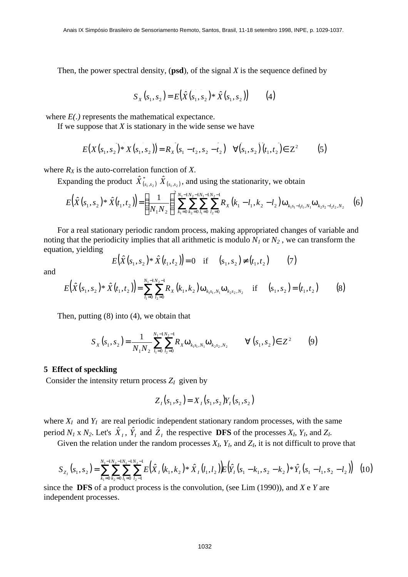Then, the power spectral density, (**psd**), of the signal *X* is the sequence defined by

$$
S_X(s_1, s_2) = E(\hat{X}(s_1, s_2) * \hat{X}(s_1, s_2))
$$
 (4)

where *E(.)* represents the mathematical expectance.

If we suppose that *X* is stationary in the wide sense we have

$$
E(X(s_1, s_2) * X(s_1, s_2)) = R_X(s_1 - t_2, s_2 - t_2) \quad \forall (s_1, s_2) (t_1, t_2) \in Z^2 \tag{5}
$$

where  $R_X$  is the auto-correlation function of *X*.

Expanding the product  $\hat{X}^*_{(s_1, s_2)}$   $\hat{X}_{(s_1, s_2)}$ , and using the stationarity, we obtain

$$
E(\hat{X}(s_1, s_2) * \hat{X}(t_1, t_2)) = \left(\frac{1}{N_1 N_2}\right)^2 \sum_{k_1=0}^{N_1-1} \sum_{k_2=0}^{N_2-1} \sum_{l_1=0}^{N_1-1} \sum_{l_2=0}^{N_2-1} R_X(k_1 - l_1, k_2 - l_2) \mathbf{w}_{k_1 s_1 - l_1 t_1, N_1} \mathbf{w}_{k_2 s_2 - l_2 t_2, N_2}
$$
(6)

For a real stationary periodic random process, making appropriated changes of variable and noting that the periodicity implies that all arithmetic is modulo *N1* or *N2* , we can transform the equation, yielding

$$
E(\hat{X}(s_1, s_2) * \hat{X}(t_1, t_2)) = 0 \quad \text{if} \quad (s_1, s_2) \neq (t_1, t_2) \tag{7}
$$

and

$$
E(\hat{X}(s_1, s_2)^* \hat{X}(t_1, t_2)) = \sum_{l_1=0}^{N_1-1} \sum_{l_2=0}^{N_2-1} R_X(k_1, k_2) \mathbf{w}_{k_1 s_1, N_1} \mathbf{w}_{k_2 s_2, N_2} \quad \text{if} \quad (s_1, s_2) = (t_1, t_2) \tag{8}
$$

Then, putting (8) into (4), we obtain that

$$
S_X(s_1, s_2) = \frac{1}{N_1 N_2} \sum_{l_1=0}^{N_1 - 1 N_2 - 1} R_X \mathbf{w}_{k_1 s_1, N_1} \mathbf{w}_{k_2 s_2, N_2} \qquad \forall (s_1, s_2) \in Z^2 \tag{9}
$$

#### **5 Effect of speckling**

Consider the intensity return process  $Z_I$  given by

$$
Z_I(s_1, s_2) = X_I(s_1, s_2)Y_I(s_1, s_2)
$$

where  $X_I$  and  $Y_I$  are real periodic independent stationary random processes, with the same period  $N_1 \times N_2$ . Let's  $\hat{X}_1$ ,  $\hat{Y}_1$  and  $\hat{Z}_1$  the respective **DFS** of the processes  $X_I$ ,  $Y_I$ , and  $Z_I$ .

Given the relation under the random processes  $X_I$ ,  $Y_I$ , and  $Z_I$ , it is not difficult to prove that

$$
S_{Z_1}(s_1, s_2) = \sum_{k_1=0}^{N_1-1} \sum_{k_2=0}^{N_2-1} \sum_{l_1=0}^{N_1-1} \sum_{l_2=1}^{N_2-1} E(\hat{X}_1(k_1, k_2) * \hat{X}_1(l_1, l_2)) E(\hat{Y}_1(s_1 - k_1, s_2 - k_2) * \hat{Y}_1(s_1 - l_1, s_2 - l_2)) \tag{10}
$$

since the **DFS** of a product process is the convolution, (see Lim (1990)), and *X* e *Y* are independent processes.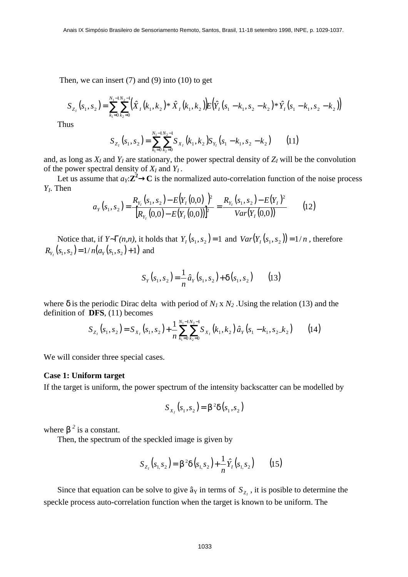Then, we can insert  $(7)$  and  $(9)$  into  $(10)$  to get

$$
S_{Z_I}(s_1, s_2) = \sum_{k_1=0}^{N_1-N_2-1} \left(\hat{X}_I(k_1, k_2) * \hat{X}_I(k_1, k_2)\right) E(\hat{Y}_I(s_1 - k_1, s_2 - k_2) * \hat{Y}_I(s_1 - k_1, s_2 - k_2))
$$

Thus

$$
S_{Z_1}(s_1, s_2) = \sum_{k_1=0}^{N_1-1} \sum_{k_2=0}^{N_2-1} S_{X_1}(k_1, k_2) S_{Y_1}(s_1 - k_1, s_2 - k_2)
$$
 (11)

and, as long as  $X_I$  and  $Y_I$  are stationary, the power spectral density of  $Z_I$  will be the convolution of the power spectral density of  $X_I$  and  $Y_I$ .

Let us assume that  $a_Y: \mathbb{Z}^2 \to \mathbb{C}$  is the normalized auto-correlation function of the noise process *YI* . Then

$$
a_{Y}(s_{1}, s_{2}) = \frac{R_{Y_{I}}(s_{1}, s_{2}) - E(Y_{I}(0,0))^{2}}{[R_{Y_{I}}(0,0) - E(Y_{I}(0,0))]^{2}} = \frac{R_{Y_{I}}(s_{1}, s_{2}) - E(Y_{I})^{2}}{Var(Y_{I}(0,0))}
$$
(12)

Notice that, if  $Y \sim G(n,n)$ , it holds that  $Y_I(s_1, s_2) = 1$  and  $Var(Y_I(s_1, s_2)) = 1/n$ , therefore  $R_{Y_1}(s_1, s_2) = 1/n(a_Y(s_1, s_2) + 1)$  and

$$
S_Y(s_1, s_2) = \frac{1}{n} \hat{a}_Y(s_1, s_2) + \boldsymbol{d}(s_1, s_2)
$$
 (13)

where  $\delta$  is the periodic Dirac delta with period of  $N_1 \times N_2$ . Using the relation (13) and the definition of **DFS**, (11) becomes

$$
S_{Z_1}(s_1, s_2) = S_{X_1}(s_1, s_2) + \frac{1}{n} \sum_{k_1=0}^{N_1-1} \sum_{k_2=0}^{N_2-1} S_{X_1}(k_1, k_2) \hat{a}_Y(s_1 - k_1, s_2, k_2)
$$
(14)

We will consider three special cases.

### **Case 1: Uniform target**

If the target is uniform, the power spectrum of the intensity backscatter can be modelled by

$$
S_{X_1}(s_1, s_2) = \mathbf{b}^2 \mathbf{d}(s_1, s_2)
$$

where **<sup>2</sup> is a constant.** 

Then, the spectrum of the speckled image is given by

$$
S_{Z_I}(s_1, s_2) = \mathbf{b}^2 \mathbf{d}(s_1, s_2) + \frac{1}{n} \hat{Y}_I(s_1, s_2) \qquad (15)
$$

Since that equation can be solve to give  $\hat{a}_Y$  in terms of  $S_{Z_I}$ , it is posible to determine the speckle process auto-correlation function when the target is known to be uniform. The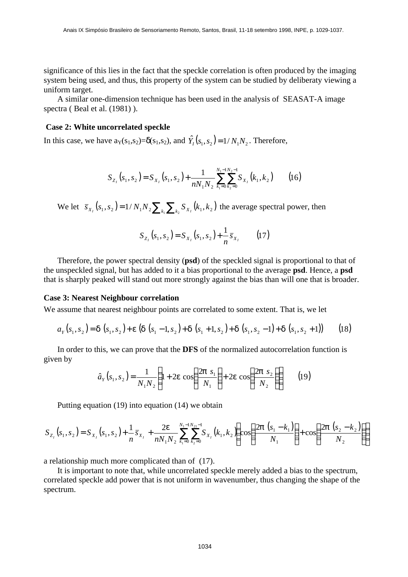significance of this lies in the fact that the speckle correlation is often produced by the imaging system being used, and thus, this property of the system can be studied by deliberaty viewing a uniform target.

A similar one-dimension technique has been used in the analysis of SEASAT-A image spectra (Beal et al. (1981)).

### **Case 2: White uncorrelated speckle**

In this case, we have  $a_Y(s_1, s_2) = \delta(s_1, s_2)$ , and  $\hat{Y}_I(s_1, s_2) = 1/N_1N_2$ . Therefore,

$$
S_{Z_{I}}(s_{1}, s_{2}) = S_{X_{I}}(s_{1}, s_{2}) + \frac{1}{nN_{1}N_{2}} \sum_{k_{1}=0}^{N_{1}-1} \sum_{k_{2}=0}^{N_{2}-1} S_{X_{I}}(k_{1}, k_{2}) \qquad (16)
$$

We let  $\bar{s}_{X_i}(s_1, s_2) = 1 / N_1 N_2 \sum_{k_1} \sum_{k_2} S_{X_i}(k_1, k_2)$  the average spectral power, then

$$
S_{Z_t}(s_1, s_2) = S_{X_t}(s_1, s_2) + \frac{1}{n} \overline{s}_{X_t}
$$
 (17)

Therefore, the power spectral density (**psd**) of the speckled signal is proportional to that of the unspeckled signal, but has added to it a bias proportional to the average **psd**. Hence, a **psd** that is sharply peaked will stand out more strongly against the bias than will one that is broader.

#### **Case 3: Nearest Neighbour correlation**

We assume that nearest neighbour points are correlated to some extent. That is, we let

$$
a_{Y}(s_{1}, s_{2}) = d(s_{1}, s_{2}) + e(d(s_{1}-1, s_{2}) + d(s_{1}+1, s_{2}) + d(s_{1}, s_{2}-1) + d(s_{1}, s_{2}+1))
$$
 (18)

In order to this, we can prove that the **DFS** of the normalized autocorrelation function is given by

$$
\hat{a}_Y(s_1, s_2) = \frac{1}{N_1 N_2} \left( 1 + 2e \cos \left( \frac{2p \ s_1}{N_1} \right) + 2e \cos \left( \frac{2p \ s_2}{N_2} \right) \right) \tag{19}
$$

Putting equation (19) into equation (14) we obtain

$$
S_{Z_1}(s_1, s_2) = S_{X_1}(s_1, s_2) + \frac{1}{n} \overline{s}_{X_1} + \frac{2e}{nN_1N_2} \sum_{k_1=0}^{N_1-1} \sum_{k_2=0}^{N_2-1} S_{X_1}(k_1, k_2) \left( \cos \left( \frac{2p (s_1 - k_1)}{N_1} \right) + \cos \left( \frac{2p (s_2 - k_2)}{N_2} \right) \right)
$$

a relationship much more complicated than of (17).

It is important to note that, while uncorrelated speckle merely added a bias to the spectrum, correlated speckle add power that is not uniform in wavenumber, thus changing the shape of the spectrum.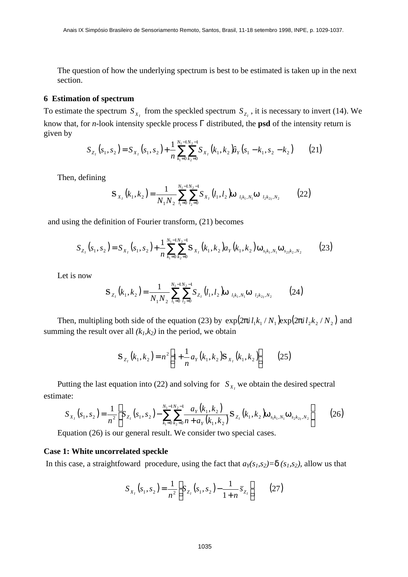The question of how the underlying spectrum is best to be estimated is taken up in the next section.

# **6 Estimation of spectrum**

To estimate the spectrum  $S_{X_I}$  from the speckled spectrum  $S_{Z_I}$ , it is necessary to invert (14). We know that, for *n*-look intensity speckle process Γ distributed, the **psd** of the intensity return is given by

$$
S_{Z_1}(s_1, s_2) = S_{X_1}(s_1, s_2) + \frac{1}{n} \sum_{k_1=0}^{N_1-1} \sum_{k_2=0}^{N_2-1} S_{X_1}(k_1, k_2) \hat{u}_Y(s_1 - k_1, s_2 - k_2)
$$
 (21)

Then, defining

$$
\mathbf{S}_{X_{I}}(k_{1},k_{2}) = \frac{1}{N_{1}N_{2}} \sum_{l_{1}=0}^{N_{1}-1} \sum_{l_{2}=0}^{N_{2}-1} \mathbf{S}_{X_{I}}(l_{1},l_{2}) \mathbf{w}_{l_{1}k_{1},N_{1}} \mathbf{w}_{l_{2}k_{2},N_{2}}
$$
(22)

and using the definition of Fourier transform, (21) becomes

$$
S_{Z_1}(s_1, s_2) = S_{X_1}(s_1, s_2) + \frac{1}{n} \sum_{k_1=0}^{N_1-1} \sum_{k_2=0}^{N_2-1} S_{X_1}(k_1, k_2) a_Y(k_1, k_2) \mathbf{w}_{s_1 k_1, N_1} \mathbf{w}_{s_2 k_2, N_2}
$$
(23)

Let is now

$$
\mathbf{S}_{Z_{I}}(k_{1},k_{2}) = \frac{1}{N_{1}N_{2}} \sum_{l_{1}=0}^{N_{1}-1} \sum_{l_{2}=0}^{N_{2}-1} S_{Z_{I}}(l_{1},l_{2}) \mathbf{w}_{l_{1}k_{1},N_{1}} \mathbf{w}_{l_{2}k_{2},N_{2}}
$$
(24)

Then, multipling both side of the equation (23) by  $exp(2\pi i l_1 k_1 / N_1) exp(2\pi i l_2 k_2 / N_2)$  and summing the result over all  $(k_l, k_2)$  in the period, we obtain

$$
\mathbf{S}_{z_i}(k_1, k_2) = n^2 \left[ 1 + \frac{1}{n} a_Y(k_1, k_2) \mathbf{S}_{X_i}(k_1, k_2) \right] \tag{25}
$$

Putting the last equation into (22) and solving for  $S_{X_i}$  we obtain the desired spectral estimate:

$$
S_{X_1}(s_1, s_2) = \frac{1}{n^2} \left[ S_{Z_1}(s_1, s_2) - \sum_{k_1=0}^{N_1-1} \sum_{k_2=0}^{N_2-1} \frac{a_Y(k_1, k_2)}{n + a_Y(k_1, k_2)} S_{Z_1}(k_1, k_2) W_{s_1k_1, N_1} W_{s_2k_2, N_2} \right]
$$
(26)

Equation (26) is our general result. We consider two special cases.

### **Case 1: White uncorrelated speckle**

In this case, a straightfoward procedure, using the fact that  $a_Y(s_1, s_2) = d(s_1, s_2)$ , allow us that

$$
S_{X_1}(s_1, s_2) = \frac{1}{n^2} \bigg[ S_{Z_1}(s_1, s_2) - \frac{1}{1+n} \overline{s}_{Z_1} \bigg] \qquad (27)
$$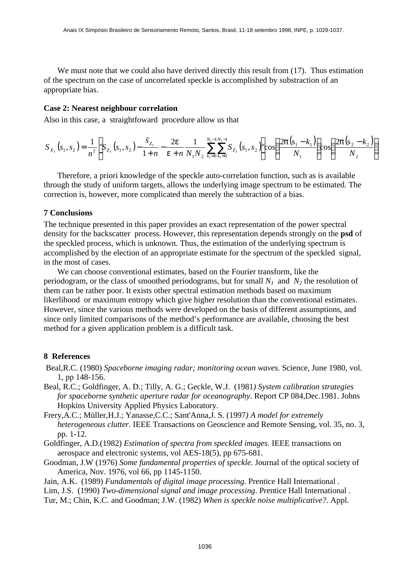We must note that we could also have derived directly this result from  $(17)$ . Thus estimation of the spectrum on the case of uncorrelated speckle is accomplished by substraction of an appropriate bias.

# **Case 2: Nearest neighbour correlation**

Also in this case, a straightfoward procedure allow us that

$$
S_{X_{I}}(s_{1}, s_{2}) = \frac{1}{n^{2}} \left[ S_{Z_{I}}(s_{1}, s_{2}) - \frac{\overline{s}_{Z_{I}}}{1+n} - \frac{2\mathbf{e}}{\mathbf{e}+n} \frac{1}{N_{1}N_{2}} \sum_{k_{1}=0}^{N_{1}-1N_{1}-1} S_{Z_{I}}(s_{1}, s_{2}) \right] \cos\left(\frac{2\mathbf{p}(s_{1}-k_{1})}{N_{1}}\right) \cos\left(\frac{2\mathbf{p}(s_{2}-k_{2})}{N_{2}}\right)
$$

Therefore, a priori knowledge of the speckle auto-correlation function, such as is available through the study of uniform targets, allows the underlying image spectrum to be estimated. The correction is, however, more complicated than merely the subtraction of a bias.

#### **7 Conclusions**

The technique presented in this paper provides an exact representation of the power spectral density for the backscatter process. However, this representation depends strongly on the **psd** of the speckled process, which is unknown. Thus, the estimation of the underlying spectrum is accomplished by the election of an appropriate estimate for the spectrum of the speckled signal, in the most of cases.

We can choose conventional estimates, based on the Fourier transform, like the periodogram, or the class of smoothed periodograms, but for small  $N_1$  and  $N_2$  the resolution of them can be rather poor. It exists other spectral estimation methods based on maximum likerlihood or maximum entropy which give higher resolution than the conventional estimates. However, since the various methods were developed on the basis of different assumptions, and since only limited comparisons of the method's performance are available, choosing the best method for a given application problem is a difficult task.

# **8 References**

- Beal,R.C. (1980) *Spaceborne imaging radar; monitoring ocean waves.* Science, June 1980, vol. 1, pp 148-156.
- Beal, R.C.; Goldfinger, A. D.; Tilly, A. G.; Geckle, W.J. (1981*) System calibration strategies for spaceborne synthetic aperture radar for oceanography.* Report CP 084,Dec.1981. Johns Hopkins University Applied Physics Laboratory.
- Frery,A.C.; Müller,H.J.; Yanasse,C.C.; Sant'Anna,J. S. (1997*) A model for extremely heterogeneous clutter.* IEEE Transactions on Geoscience and Remote Sensing, vol. 35, no. 3, pp. 1-12.
- Goldfinger, A.D.(1982) *Estimation of spectra from speckled images*. IEEE transactions on aerospace and electronic systems, vol AES-18(5), pp 675-681.
- Goodman, J.W (1976) *Some fundamental properties of speckle.* Journal of the optical society of America, Nov. 1976, vol 66, pp 1145-1150.

Jain, A.K. (1989) *Fundamentals of digital image processing*. Prentice Hall International .

- Lim, J.S. (1990) *Two-dimensional signal and image processing*. Prentice Hall International .
- Tur, M.; Chin, K.C. and Goodman; J.W. (1982) *When is speckle noise multiplicative?.* Appl.